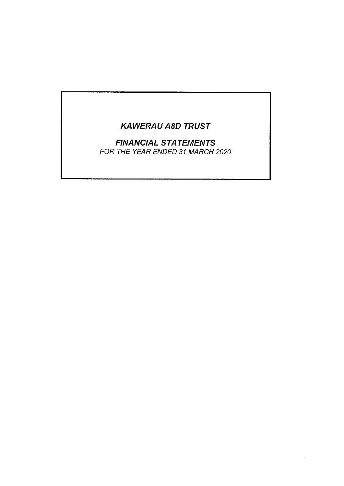**FINANCIAL STATEMENTS** FOR THE YEAR ENDED 31 MARCH 2020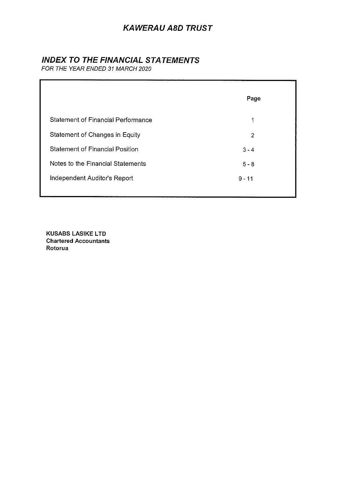# **INDEX TO THE FINANCIAL STATEMENTS**

FOR THE YEAR ENDED 31 MARCH 2020

|                                           | Page     |
|-------------------------------------------|----------|
| <b>Statement of Financial Performance</b> | 1        |
| Statement of Changes in Equity            | 2        |
| <b>Statement of Financial Position</b>    | $3 - 4$  |
| Notes to the Financial Statements         | $5 - 8$  |
| Independent Auditor's Report              | $9 - 11$ |
|                                           |          |

**KUSABS LASIKE LTD Chartered Accountants** Rotorua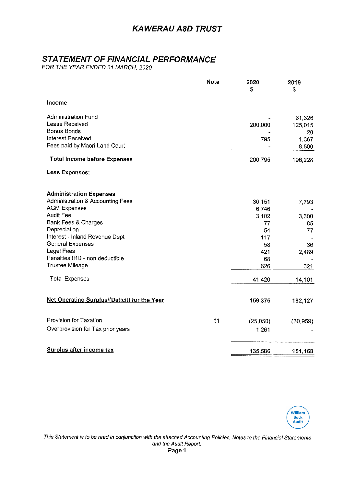# **STATEMENT OF FINANCIAL PERFORMANCE**

FOR THE YEAR ENDED 31 MARCH, 2020

|                                                | <b>Note</b> | 2020<br>\$ | 2019<br>\$     |
|------------------------------------------------|-------------|------------|----------------|
| Income                                         |             |            |                |
| <b>Administration Fund</b>                     |             |            | 61,326         |
| Lease Received                                 |             | 200,000    | 125,015        |
| <b>Bonus Bonds</b><br><b>Interest Received</b> |             |            | 20             |
| Fees paid by Maori Land Court                  |             | 795        | 1,367<br>8,500 |
| <b>Total Income before Expenses</b>            |             | 200,795    | 196,228        |
| <b>Less Expenses:</b>                          |             |            |                |
|                                                |             |            |                |
| <b>Administration Expenses</b>                 |             |            |                |
| <b>Administration &amp; Accounting Fees</b>    |             | 30,151     | 7,793          |
| <b>AGM Expenses</b>                            |             | 6,746      |                |
| <b>Audit Fee</b>                               |             | 3,102      | 3,300          |
| Bank Fees & Charges                            |             | 77         | 85             |
| Depreciation                                   |             | 54         | 77             |
| Interest - Inland Revenue Dept                 |             | 117        |                |
| General Expenses<br>Legal Fees                 |             | 58         | 36             |
| Penalties IRD - non deductible                 |             | 421        | 2,489          |
| <b>Trustee Mileage</b>                         |             | 68         |                |
|                                                |             | 626        | 321            |
| <b>Total Expenses</b>                          |             | 41,420     | 14,101         |
| Net Operating Surplus/(Deficit) for the Year   |             | 159,375    | 182,127        |
|                                                |             |            |                |
| Provision for Taxation                         | 11          | (25,050)   | (30, 959)      |
| Overprovision for Tax prior years              |             | 1,261      |                |
|                                                |             |            |                |
| <b>Surplus after income tax</b>                |             | 135,586    | 151,168        |



This Statement is to be read in conjunction with the attached Accounting Policies, Notes to the Financial Statements and the Audit Report.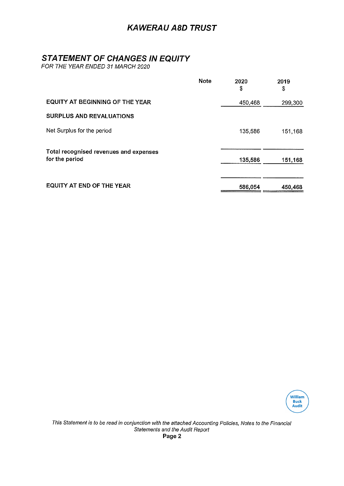# **STATEMENT OF CHANGES IN EQUITY**

FOR THE YEAR ENDED 31 MARCH 2020

|                                                          | <b>Note</b> | 2020<br>\$ | 2019<br>\$ |
|----------------------------------------------------------|-------------|------------|------------|
| <b>EQUITY AT BEGINNING OF THE YEAR</b>                   |             | 450,468    | 299,300    |
| <b>SURPLUS AND REVALUATIONS</b>                          |             |            |            |
| Net Surplus for the period                               |             | 135,586    | 151,168    |
| Total recognised revenues and expenses<br>for the period |             | 135,586    | 151,168    |
| <b>EQUITY AT END OF THE YEAR</b>                         |             | 586,054    | 450,468    |

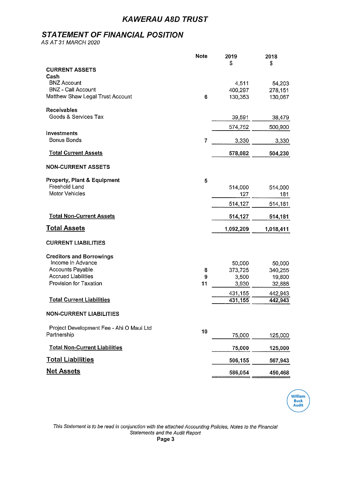# **STATEMENT OF FINANCIAL POSITION**

AS AT 31 MARCH 2020

|                                          | <b>Note</b> | 2019<br>\$         | 2018<br>\$         |
|------------------------------------------|-------------|--------------------|--------------------|
| <b>CURRENT ASSETS</b>                    |             |                    |                    |
| Cash<br><b>BNZ Account</b>               |             |                    |                    |
| <b>BNZ</b> - Call Account                |             | 4,511<br>400,297   | 54,203<br>278,151  |
| Matthew Shaw Legal Trust Account         | 6           | 130,353            | 130,067            |
| <b>Receivables</b>                       |             |                    |                    |
| Goods & Services Tax                     |             | 39,591             | 38,479             |
|                                          |             | 574,752            | 500,900            |
| Investments<br><b>Bonus Bonds</b>        | 7           | 3,330              | 3,330              |
|                                          |             |                    |                    |
| <b>Total Current Assets</b>              |             | 578,082            | 504,230            |
| <b>NON-CURRENT ASSETS</b>                |             |                    |                    |
| <b>Property, Plant &amp; Equipment</b>   | 5           |                    |                    |
| Freehold Land                            |             | 514,000            | 514,000            |
| <b>Motor Vehicles</b>                    |             | 127                | 181                |
|                                          |             | 514,127            | 514,181            |
| <b>Total Non-Current Assets</b>          |             | 514,127            | 514,181            |
| <b>Total Assets</b>                      |             | 1,092,209          | 1,018,411          |
| <b>CURRENT LIABILITIES</b>               |             |                    |                    |
| <b>Creditors and Borrowings</b>          |             |                    |                    |
| Income in Advance                        |             | 50,000             | 50,000             |
| <b>Accounts Payable</b>                  | 8           | 373,725            | 340,255            |
| <b>Accrued Liabilities</b>               | 9           | 3,500              | 19,800             |
| <b>Provision for Taxation</b>            | 11          | 3,930              | 32,888             |
| <b>Total Current Liabilities</b>         |             | 431,155<br>431,155 | 442,943<br>442,943 |
|                                          |             |                    |                    |
| <b>NON-CURRENT LIABILITIES</b>           |             |                    |                    |
| Project Development Fee - Ahi O Maui Ltd | 10          |                    |                    |
| Partnership                              |             | 75,000             | 125,000            |
| <b>Total Non-Current Liabilities</b>     |             | 75,000             | 125,000            |
| <b>Total Liabilities</b>                 |             | 506,155            | 567,943            |
| <b>Net Assets</b>                        |             | 586,054            | 450,468            |
|                                          |             |                    |                    |



This Statement is to be read in conjunction with the attached Accounting Policies, Notes to the Financial Statements and the Audit Report Page 3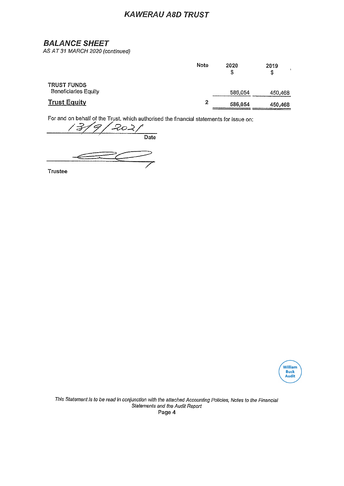## **BALANCE SHEET**

AS AT 31 MARCH 2020 (continued)

|                                                   | Note  | 2020<br>\$ | 2019<br>S |
|---------------------------------------------------|-------|------------|-----------|
| <b>TRUST FUNDS</b><br><b>Beneficiaries Equity</b> |       | 586.054    | 450,468   |
| <b>Trust Equity</b>                               | 2<br> | 586,054    | 450,468   |

For and on behalf of the Trust, which authorised the financial statements for issue on:

rust, which  $202/$  $\Rightarrow$ چي '

Trustee



This Statement is to be read in conjunction with the attached Accounting Policies, Notes to the Financial Statements and the Audit Report Page 4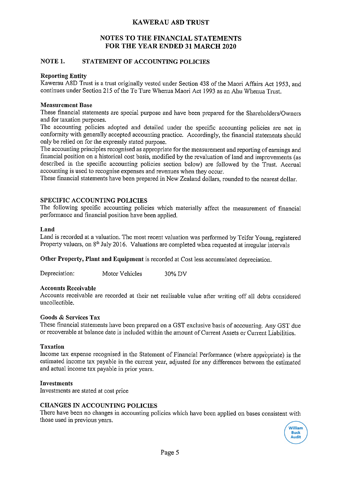## NOTES TO THE FINANCIAL STATEMENTS FOR THE YEAR ENDED 31 MARCH 2020

#### NOTE<sub>1</sub>. STATEMENT OF ACCOUNTING POLICIES

#### **Reporting Entity**

Kawerau A8D Trust is a trust originally vested under Section 438 of the Maori Affairs Act 1953, and continues under Section 215 of the Te Ture Whenua Maori Act 1993 as an Ahu Whenua Trust.

#### **Measurement Base**

These financial statements are special purpose and have been prepared for the Shareholders/Owners and for taxation purposes.

The accounting policies adopted and detailed under the specific accounting policies are not in conformity with generally accepted accounting practice. Accordingly, the financial statements should only be relied on for the expressly stated purpose.

The accounting principles recognised as appropriate for the measurement and reporting of earnings and financial position on a historical cost basis, modified by the revaluation of land and improvements (as described in the specific accounting policies section below) are followed by the Trust. Accrual accounting is used to recognise expenses and revenues when they occur.

These financial statements have been prepared in New Zealand dollars, rounded to the nearest dollar.

### **SPECIFIC ACCOUNTING POLICIES**

The following specific accounting policies which materially affect the measurement of financial performance and financial position have been applied.

#### Land

Land is recorded at a valuation. The most recent valuation was performed by Telfer Young, registered Property valuers, on 8<sup>th</sup> July 2016. Valuations are completed when requested at irregular intervals

Other Property, Plant and Equipment is recorded at Cost less accumulated depreciation.

Depreciation: Motor Vehicles 30% DV

#### **Accounts Receivable**

Accounts receivable are recorded at their net realisable value after writing off all debts considered uncollectible.

#### Goods & Services Tax

These financial statements have been prepared on a GST exclusive basis of accounting. Any GST due or recoverable at balance date is included within the amount of Current Assets or Current Liabilities.

#### **Taxation**

Income tax expense recognised in the Statement of Financial Performance (where appropriate) is the estimated income tax payable in the current year, adjusted for any differences between the estimated and actual income tax payable in prior years.

#### **Investments**

Investments are stated at cost price

#### **CHANGES IN ACCOUNTING POLICIES**

There have been no changes in accounting policies which have been applied on bases consistent with those used in previous years.

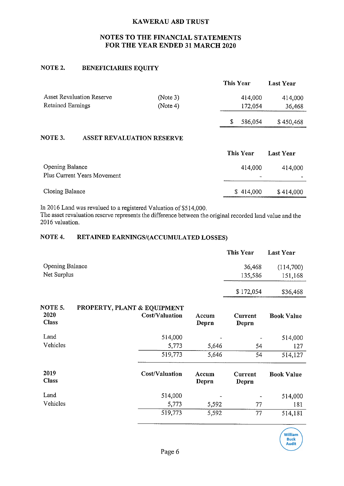## NOTES TO THE FINANCIAL STATEMENTS FOR THE YEAR ENDED 31 MARCH 2020

#### NOTE 2. **BENEFICIARIES EQUITY**

|                                  |                                  | This Year     | Last Year |
|----------------------------------|----------------------------------|---------------|-----------|
| <b>Asset Revaluation Reserve</b> | (Note 3)                         | 414,000       | 414,000   |
| <b>Retained Earnings</b>         | (Note 4)                         | 172,054       | 36,468    |
|                                  |                                  | \$<br>586,054 | \$450,468 |
| NOTE 3.                          | <b>ASSET REVALUATION RESERVE</b> |               |           |
|                                  |                                  | This Year     | Last Year |
| Opening Balance                  |                                  | 414,000       | 414,000   |
| Plus Current Years Movement      |                                  |               |           |
| Closing Balance                  |                                  | \$414,000     | \$414,000 |

In 2016 Land was revalued to a registered Valuation of \$514,000.

The asset revaluation reserve represents the difference between the original recorded land value and the 2016 valuation.

#### NOTE 4. RETAINED EARNINGS/(ACCUMULATED LOSSES)

|                                 |                                               |                | This Year        | Last Year         |
|---------------------------------|-----------------------------------------------|----------------|------------------|-------------------|
| <b>Opening Balance</b>          |                                               |                | 36,468           | (114,700)         |
| Net Surplus                     |                                               |                | 135,586          | 151,168           |
|                                 |                                               |                | \$172,054        | \$36,468          |
| NOTE 5.<br>2020<br><b>Class</b> | PROPERTY, PLANT & EQUIPMENT<br>Cost/Valuation | Accum<br>Deprn | Current<br>Deprn | <b>Book Value</b> |
| Land                            | 514,000                                       |                |                  | 514,000           |
| Vehicles                        | 5,773                                         | 5,646          | 54               | 127               |
|                                 | 519,773                                       | 5,646          | 54               | 514,127           |
| 2019<br><b>Class</b>            | Cost/Valuation                                | Accum<br>Deprn | Current<br>Deprn | <b>Book Value</b> |
| Land                            | 514,000                                       |                |                  | 514,000           |
| Vehicles                        | 5,773                                         | 5,592          | 77               | 181               |
|                                 | 519,773                                       | 5,592          | 77               | 514,181           |

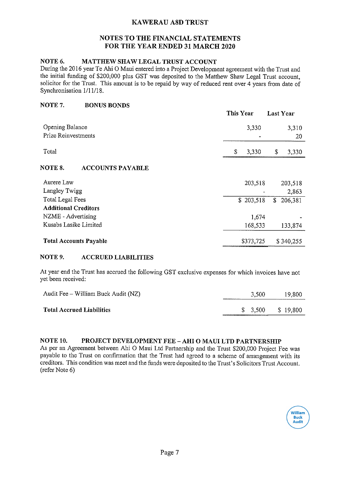## **NOTES TO THE FINANCIAL STATEMENTS** FOR THE YEAR ENDED 31 MARCH 2020

#### NOTE 6. MATTHEW SHAW LEGAL TRUST ACCOUNT

During the 2016 year Te Ahi O Maui entered into a Project Development agreement with the Trust and the initial funding of \$200,000 plus GST was deposited to the Matthew Shaw Legal Trust account, solicitor for the Trust. This amount is to be repaid by way of reduced rent over 4 years from date of Synchronisation 1/11/18.

#### NOTE 7. **BONUS BONDS**

|                                           | This Year |           |     | <b>Last Year</b> |
|-------------------------------------------|-----------|-----------|-----|------------------|
| Opening Balance                           |           | 3,330     |     | 3,310            |
| Prize Reinvestments                       |           |           |     | 20               |
| Total                                     | \$        | 3,330     | \$  | 3,330            |
| <b>NOTE 8.</b><br><b>ACCOUNTS PAYABLE</b> |           |           |     |                  |
| Aurere Law                                |           | 203,518   |     | 203,518          |
| Langley Twigg                             |           |           |     | 2,863            |
| <b>Total Legal Fees</b>                   |           | \$203,518 | \$. | 206,381          |
| <b>Additional Creditors</b>               |           |           |     |                  |
| NZME - Advertising                        |           | 1,674     |     |                  |
| Kusabs Lasike Limited                     |           | 168,533   |     | 133,874          |
| <b>Total Accounts Payable</b>             |           | \$373,725 |     | \$340,255        |

#### NOTE 9. **ACCRUED LIABILITIES**

At year end the Trust has accrued the following GST exclusive expenses for which invoices have not vet been received:

| Audit Fee – William Buck Audit (NZ) | 3,500 | 19.800             |
|-------------------------------------|-------|--------------------|
| <b>Total Accrued Liabilities</b>    |       | $$3,500$ $$19,800$ |

#### **NOTE 10. PROJECT DEVELOPMENT FEE - AHI O MAUI LTD PARTNERSHIP**

As per an Agreement between Ahi O Maui Ltd Partnership and the Trust \$200,000 Project Fee was payable to the Trust on confirmation that the Trust had agreed to a scheme of arrangement with its creditors. This condition was meet and the funds were deposited to the Trust's Solicitors Trust Account. (refer Note 6)

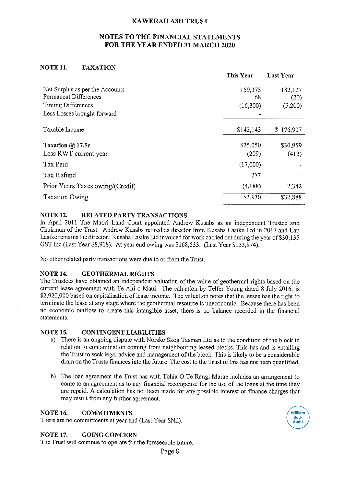## NOTES TO THE FINANCIAL STATEMENTS FOR THE YEAR ENDED 31 MARCH 2020

#### **NOTE 11. TAXATION**

|                                  | This Year | Last Year     |
|----------------------------------|-----------|---------------|
| Net Surplus as per the Accounts  | 159,375   | 182,127       |
| <b>Permanent Differences</b>     | 68        | (20)          |
| Timing Differences               | (16,300)  | (5,200)       |
| Less Losses brought forward      |           |               |
| Taxable Income                   | \$143,143 | 176,907<br>S. |
| Taxation $\omega$ 17.5c          | \$25,050  | \$30,959      |
| Less RWT current year            | (209)     | (413)         |
| Tax Paid                         | (17,000)  |               |
| Tax Refund                       | 277       |               |
| Prior Years Taxes owing/(Credit) | (4,188)   | 2,342         |
| <b>Taxation Owing</b>            | \$3,930   | \$32,888      |

#### **NOTE 12. RELATED PARTY TRANSACTIONS**

In April 2011 The Maori Land Court appointed Andrew Kusabs as an independent Trustee and Chairman of the Trust. Andrew Kusabs retired as director from Kusabs Lasike Ltd in 2017 and Lau Lasike remains the director. Kusabs Lasike Ltd invoiced for work carried out during the year of \$30,135 GST inc (Last Year \$8,918). At year end owing was \$168,533. (Last Year \$133,874).

No other related party transactions were due to or from the Trust.

#### **NOTE 14. GEOTHERMAL RIGHTS**

The Trustees have obtained an independent valuation of the value of geothermal rights based on the current lease agreement with Te Ahi o Maui. The valuation by Telfer Young dated 8 July 2016, is \$2,920,000 based on capitalisation of lease income. The valuation notes that the lessee has the right to terminate the lease at any stage where the geothermal resource is uneconomic. Because there has been no economic outflow to create this intangible asset, there is no balance recorded in the financial statements.

#### **NOTE 15. CONTINGENT LIABILITIES**

- a) There is an ongoing dispute with Norske Skog Tasman Ltd as to the condition of the block in relation to contamination coming from neighbouring leased blocks. This has and is entailing the Trust to seek legal advice and management of the block. This is likely to be a considerable drain on the Trusts finances into the future. The cost to the Trust of this has not been quantified.
- b) The loan agreement the Trust has with Tohia O Te Rangi Marae includes an arrangement to come to an agreement as to any financial recompense for the use of the loans at the time they are repaid. A calculation has not been made for any possible interest or finance charges that may result from any further agreement.

William **Buck** 

**Audit** 

#### **NOTE 16. COMMITMENTS**

There are no commitments at year end (Last Year \$Nil).

#### **NOTE 17. GOING CONCERN**

The Trust will continue to operate for the foreseeable future.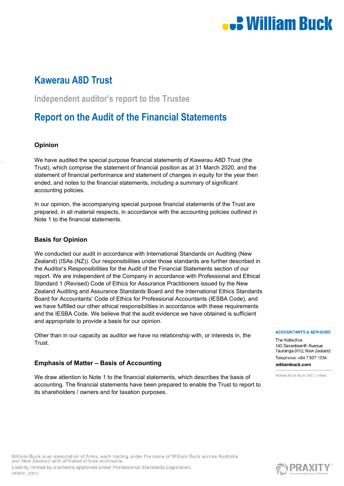

# **Kawerau A8D Trust**

**Independent auditor's report to the Trustee**

# **Report on the Audit of the Financial Statements**

## **Opinion**

We have audited the special purpose financial statements of Kawerau A8D Trust (the Trust), which comprise the statement of financial position as at 31 March 2020, and the statement of financial performance and statement of changes in equity for the year then ended, and notes to the financial statements, including a summary of significant accounting policies.

In our opinion, the accompanying special purpose financial statements of the Trust are prepared, in all material respects, in accordance with the accounting policies outlined in Note 1 to the financial statements.

#### **Basis for Opinion**

We conducted our audit in accordance with International Standards on Auditing (New Zealand) (ISAs (NZ)). Our responsibilities under those standards are further described in the Auditor's Responsibilities for the Audit of the Financial Statements section of our report. We are independent of the Company in accordance with Professional and Ethical Standard 1 (Revised) Code of Ethics for Assurance Practitioners issued by the New Zealand Auditing and Assurance Standards Board and the International Ethics Standards Board for Accountants' Code of Ethics for Professional Accountants (IESBA Code), and we have fulfilled our other ethical responsibilities in accordance with these requirements and the IESBA Code. We believe that the audit evidence we have obtained is sufficient and appropriate to provide a basis for our opinion.

Other than in our capacity as auditor we have no relationship with, or interests in, the Trust.

#### **Emphasis of Matter – Basis of Accounting**

We draw attention to Note 1 to the financial statements, which describes the basis of accounting. The financial statements have been prepared to enable the Trust to report to its shareholders / owners and for taxation purposes.

#### **ACCOUNTANTS & ADVISORS**

The Kollective 145 Seventeenth Avenue Tauranga 3112, New Zealand Telephone: +64 7 927 1234 williambuck.com

William Buck Audit (NZ) Limited

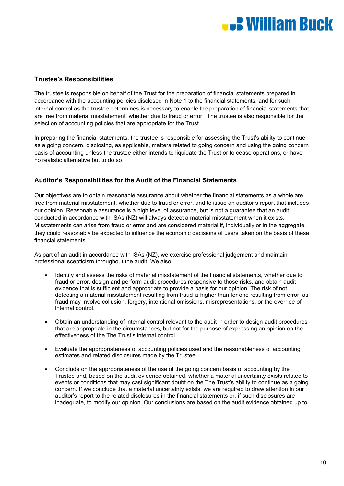# **...** William Buck

## **Trustee's Responsibilities**

The trustee is responsible on behalf of the Trust for the preparation of financial statements prepared in accordance with the accounting policies disclosed in Note 1 to the financial statements, and for such internal control as the trustee determines is necessary to enable the preparation of financial statements that are free from material misstatement, whether due to fraud or error. The trustee is also responsible for the selection of accounting policies that are appropriate for the Trust.

In preparing the financial statements, the trustee is responsible for assessing the Trust's ability to continue as a going concern, disclosing, as applicable, matters related to going concern and using the going concern basis of accounting unless the trustee either intends to liquidate the Trust or to cease operations, or have no realistic alternative but to do so.

## **Auditor's Responsibilities for the Audit of the Financial Statements**

Our objectives are to obtain reasonable assurance about whether the financial statements as a whole are free from material misstatement, whether due to fraud or error, and to issue an auditor's report that includes our opinion. Reasonable assurance is a high level of assurance, but is not a guarantee that an audit conducted in accordance with ISAs (NZ) will always detect a material misstatement when it exists. Misstatements can arise from fraud or error and are considered material if, individually or in the aggregate, they could reasonably be expected to influence the economic decisions of users taken on the basis of these financial statements.

As part of an audit in accordance with ISAs (NZ), we exercise professional judgement and maintain professional scepticism throughout the audit. We also:

- Identify and assess the risks of material misstatement of the financial statements, whether due to fraud or error, design and perform audit procedures responsive to those risks, and obtain audit evidence that is sufficient and appropriate to provide a basis for our opinion. The risk of not detecting a material misstatement resulting from fraud is higher than for one resulting from error, as fraud may involve collusion, forgery, intentional omissions, misrepresentations, or the override of internal control.
- Obtain an understanding of internal control relevant to the audit in order to design audit procedures that are appropriate in the circumstances, but not for the purpose of expressing an opinion on the effectiveness of the The Trust's internal control.
- Evaluate the appropriateness of accounting policies used and the reasonableness of accounting estimates and related disclosures made by the Trustee.
- Conclude on the appropriateness of the use of the going concern basis of accounting by the Trustee and, based on the audit evidence obtained, whether a material uncertainty exists related to events or conditions that may cast significant doubt on the The Trust's ability to continue as a going concern. If we conclude that a material uncertainty exists, we are required to draw attention in our auditor's report to the related disclosures in the financial statements or, if such disclosures are inadequate, to modify our opinion. Our conclusions are based on the audit evidence obtained up to